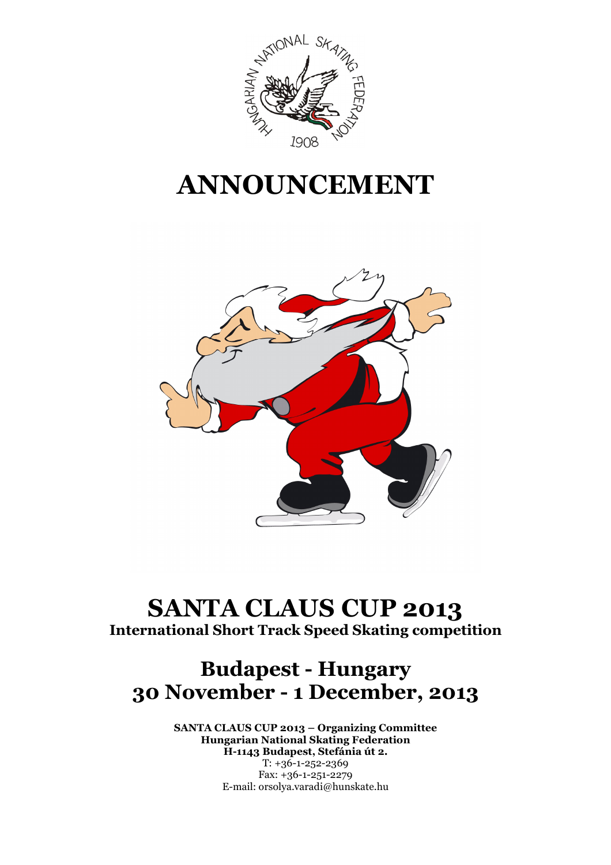

# ANNOUNCEMENT



## SANTA CLAUS CUP 2013 International Short Track Speed Skating competition

## Budapest - Hungary 30 November - 1 December, 2013

SANTA CLAUS CUP 2013 – Organizing Committee Hungarian National Skating Federation H-1143 Budapest, Stefánia út 2.  $T: +36-1-252-2369$ Fax: +36-1-251-2279 E-mail: orsolya.varadi@hunskate.hu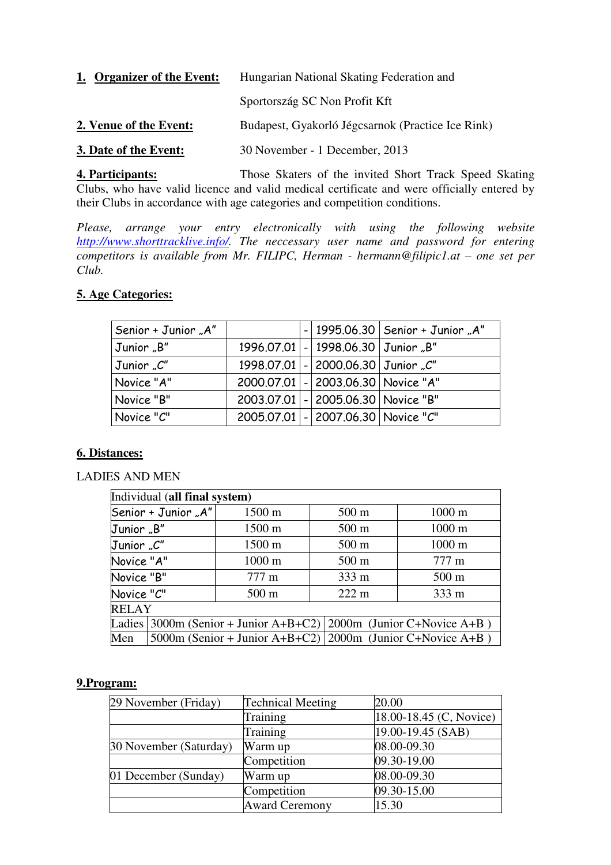| 1. Organizer of the Event: | Hungarian National Skating Federation and         |  |  |
|----------------------------|---------------------------------------------------|--|--|
|                            | Sportország SC Non Profit Kft                     |  |  |
| 2. Venue of the Event:     | Budapest, Gyakorló Jégcsarnok (Practice Ice Rink) |  |  |
| 3. Date of the Event:      | 30 November - 1 December, 2013                    |  |  |

**4. Participants:** Those Skaters of the invited Short Track Speed Skating Clubs, who have valid licence and valid medical certificate and were officially entered by their Clubs in accordance with age categories and competition conditions.

*Please, arrange your entry electronically with using the following website http://www.shorttracklive.info/. The neccessary user name and password for entering competitors is available from Mr. FILIPC, Herman - hermann@filipic1.at – one set per Club.* 

#### **5. Age Categories:**

| Senior + Junior "A" |  |                                          | $-$ 1995.06.30   Senior + Junior "A" |
|---------------------|--|------------------------------------------|--------------------------------------|
| Junior "B"          |  | 1996.07.01 - 1998.06.30 Junior "B"       |                                      |
| Junior "C"          |  | 1998.07.01   -   2000.06.30   Junior "C" |                                      |
| Novice "A"          |  | 2000.07.01 - 2003.06.30 Novice "A"       |                                      |
| Novice "B"          |  | 2003.07.01 - 2005.06.30 Novice "B"       |                                      |
| Novice "C"          |  | 2005.07.01 - 2007.06.30 Novice "C"       |                                      |

#### **6. Distances:**

#### LADIES AND MEN

| Individual (all final system) |                               |                                                                   |                 |                  |  |
|-------------------------------|-------------------------------|-------------------------------------------------------------------|-----------------|------------------|--|
| Senior + Junior "A"           |                               | 1500 m                                                            | $500 \text{ m}$ | $1000 \text{ m}$ |  |
| Junior "B"                    |                               | 1500 m                                                            | 500 m           | 1000 m           |  |
| Junior "C"                    |                               | 1500 m                                                            | 500 m           | 1000 m           |  |
| Novice "A"                    |                               | 1000 m                                                            | 500 m           | 777 m            |  |
|                               | Novice "B"<br>$777 \text{ m}$ |                                                                   | 333 m           | $500 \text{ m}$  |  |
| Novice "C"                    |                               | $500 \text{ m}$                                                   | $222 \text{ m}$ | 333 m            |  |
| <b>RELAY</b>                  |                               |                                                                   |                 |                  |  |
|                               |                               | Ladies 3000m (Senior + Junior A+B+C2) 2000m (Junior C+Novice A+B) |                 |                  |  |
| Men                           |                               | 5000m (Senior + Junior A+B+C2)   2000m (Junior C+Novice A+B)      |                 |                  |  |

#### **9.Program:**

| 29 November (Friday)   | <b>Technical Meeting</b> | 20.00                   |
|------------------------|--------------------------|-------------------------|
|                        | Training                 | 18.00-18.45 (C, Novice) |
|                        | Training                 | 19.00-19.45 (SAB)       |
| 30 November (Saturday) | Warm up                  | 08.00-09.30             |
|                        | Competition              | 09.30-19.00             |
| 01 December (Sunday)   | Warm up                  | 08.00-09.30             |
|                        | Competition              | 09.30-15.00             |
|                        | <b>Award Ceremony</b>    | 15.30                   |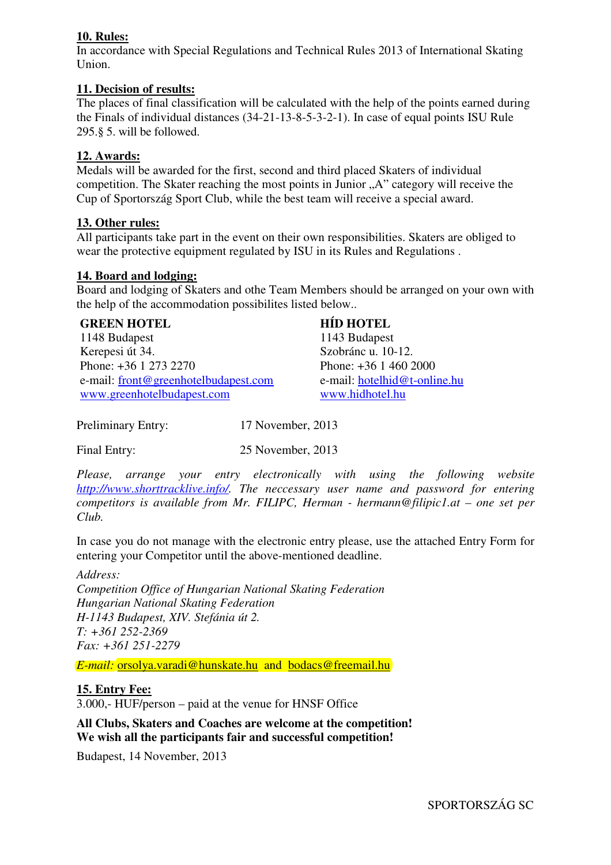#### **10. Rules:**

In accordance with Special Regulations and Technical Rules 2013 of International Skating Union.

#### **11. Decision of results:**

The places of final classification will be calculated with the help of the points earned during the Finals of individual distances (34-21-13-8-5-3-2-1). In case of equal points ISU Rule 295.§ 5. will be followed.

#### **12. Awards:**

Medals will be awarded for the first, second and third placed Skaters of individual competition. The Skater reaching the most points in Junior "A" category will receive the Cup of Sportország Sport Club, while the best team will receive a special award.

#### **13. Other rules:**

All participants take part in the event on their own responsibilities. Skaters are obliged to wear the protective equipment regulated by ISU in its Rules and Regulations .

#### **14. Board and lodging:**

Board and lodging of Skaters and othe Team Members should be arranged on your own with the help of the accommodation possibilites listed below..

| <b>GREEN HOTEL</b>                   | <b>HID HOTEL</b>             |
|--------------------------------------|------------------------------|
| 1148 Budapest                        | 1143 Budapest                |
| Kerepesi út 34.                      | Szobránc u. 10-12.           |
| Phone: +36 1 273 2270                | Phone: $+36$ 1 460 2000      |
| e-mail: front@greenhotelbudapest.com | e-mail: hotelhid@t-online.hu |
| www.greenhotelbudapest.com           | www.hidhotel.hu              |

Preliminary Entry: 17 November, 2013

Final Entry: 25 November, 2013

*Please, arrange your entry electronically with using the following website http://www.shorttracklive.info/. The neccessary user name and password for entering competitors is available from Mr. FILIPC, Herman - hermann@filipic1.at – one set per Club.* 

In case you do not manage with the electronic entry please, use the attached Entry Form for entering your Competitor until the above-mentioned deadline.

*Address: Competition Office of Hungarian National Skating Federation Hungarian National Skating Federation H-1143 Budapest, XIV. Stefánia út 2. T: +361 252-2369 Fax: +361 251-2279*

*E-mail:* orsolya.varadi@hunskate.hu and bodacs@freemail.hu

#### **15. Entry Fee:**

3.000,- HUF/person – paid at the venue for HNSF Office

#### **All Clubs, Skaters and Coaches are welcome at the competition! We wish all the participants fair and successful competition!**

Budapest, 14 November, 2013